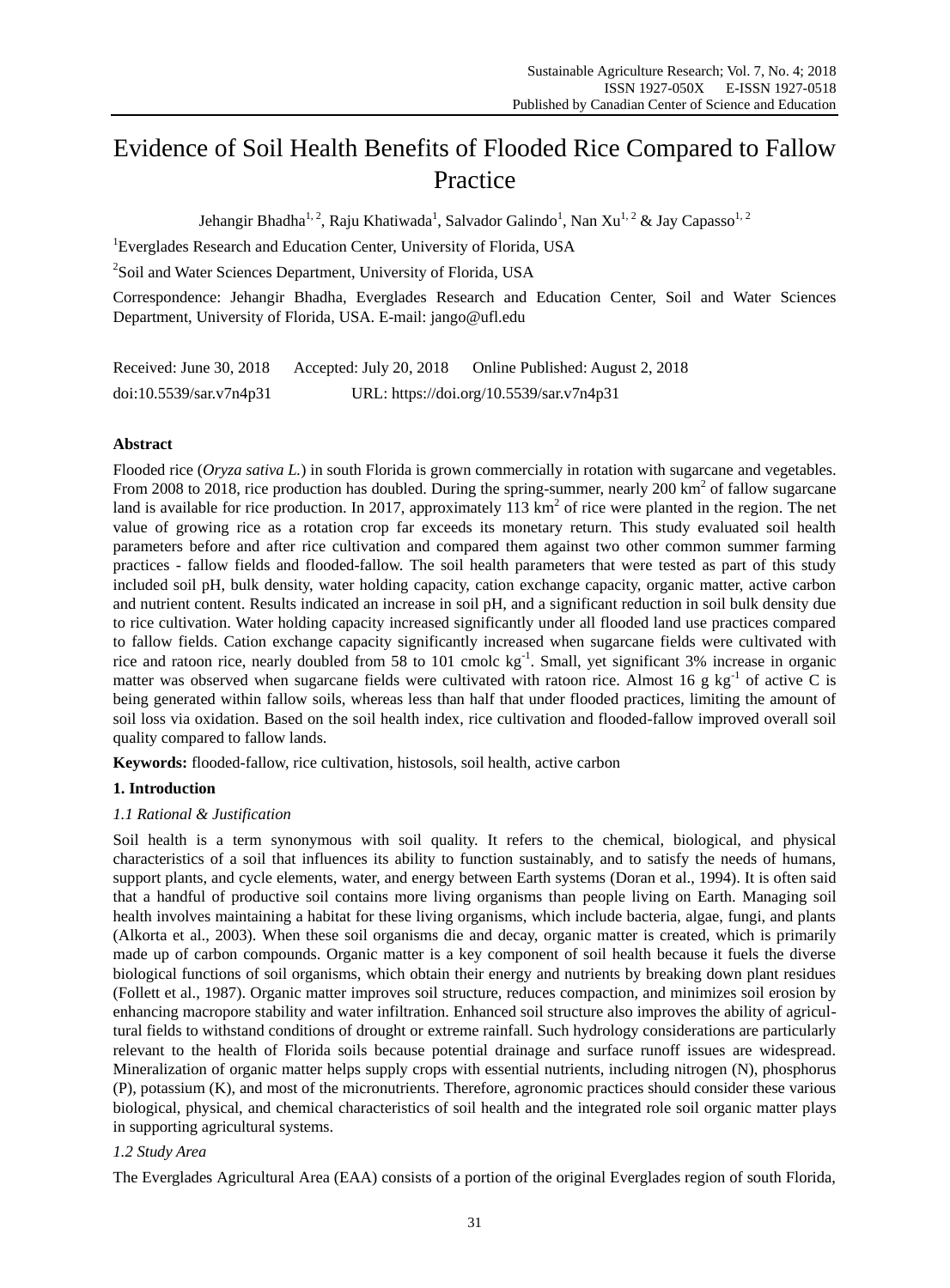# Evidence of Soil Health Benefits of Flooded Rice Compared to Fallow Practice

Jehangir Bhadha $^{1, 2}$ , Raju Khatiwada $^{1}$ , Salvador Galindo $^{1}$ , Nan Xu $^{1, 2}$  & Jay Capasso $^{1, 2}$ 

<sup>1</sup>Everglades Research and Education Center, University of Florida, USA

<sup>2</sup>Soil and Water Sciences Department, University of Florida, USA

Correspondence: Jehangir Bhadha, Everglades Research and Education Center, Soil and Water Sciences Department, University of Florida, USA. E-mail: jango@ufl.edu

| Received: June 30, 2018 | Accepted: July 20, 2018 | Online Published: August 2, 2018         |
|-------------------------|-------------------------|------------------------------------------|
| doi:10.5539/sar.v7n4p31 |                         | URL: https://doi.org/10.5539/sar.v7n4p31 |

## **Abstract**

Flooded rice (*Oryza sativa L.*) in south Florida is grown commercially in rotation with sugarcane and vegetables. From 2008 to 2018, rice production has doubled. During the spring-summer, nearly 200  $\text{km}^2$  of fallow sugarcane land is available for rice production. In 2017, approximately 113  $km<sup>2</sup>$  of rice were planted in the region. The net value of growing rice as a rotation crop far exceeds its monetary return. This study evaluated soil health parameters before and after rice cultivation and compared them against two other common summer farming practices - fallow fields and flooded-fallow. The soil health parameters that were tested as part of this study included soil pH, bulk density, water holding capacity, cation exchange capacity, organic matter, active carbon and nutrient content. Results indicated an increase in soil pH, and a significant reduction in soil bulk density due to rice cultivation. Water holding capacity increased significantly under all flooded land use practices compared to fallow fields. Cation exchange capacity significantly increased when sugarcane fields were cultivated with rice and ratoon rice, nearly doubled from 58 to 101 cmolc kg<sup>-1</sup>. Small, yet significant 3% increase in organic matter was observed when sugarcane fields were cultivated with ratoon rice. Almost 16  $g kg<sup>-1</sup>$  of active C is being generated within fallow soils, whereas less than half that under flooded practices, limiting the amount of soil loss via oxidation. Based on the soil health index, rice cultivation and flooded-fallow improved overall soil quality compared to fallow lands.

**Keywords:** flooded-fallow, rice cultivation, histosols, soil health, active carbon

## **1. Introduction**

## *1.1 Rational & Justification*

Soil health is a term synonymous with soil quality. It refers to the chemical, biological, and physical characteristics of a soil that influences its ability to function sustainably, and to satisfy the needs of humans, support plants, and cycle elements, water, and energy between Earth systems (Doran et al., 1994). It is often said that a handful of productive soil contains more living organisms than people living on Earth. Managing soil health involves maintaining a habitat for these living organisms, which include bacteria, algae, fungi, and plants (Alkorta et al., 2003). When these soil organisms die and decay, organic matter is created, which is primarily made up of carbon compounds. Organic matter is a key component of soil health because it fuels the diverse biological functions of soil organisms, which obtain their energy and nutrients by breaking down plant residues (Follett et al., 1987). Organic matter improves soil structure, reduces compaction, and minimizes soil erosion by enhancing macropore stability and water infiltration. Enhanced soil structure also improves the ability of agricultural fields to withstand conditions of drought or extreme rainfall. Such hydrology considerations are particularly relevant to the health of Florida soils because potential drainage and surface runoff issues are widespread. Mineralization of organic matter helps supply crops with essential nutrients, including nitrogen (N), phosphorus (P), potassium (K), and most of the micronutrients. Therefore, agronomic practices should consider these various biological, physical, and chemical characteristics of soil health and the integrated role soil organic matter plays in supporting agricultural systems.

## *1.2 Study Area*

The Everglades Agricultural Area (EAA) consists of a portion of the original Everglades region of south Florida,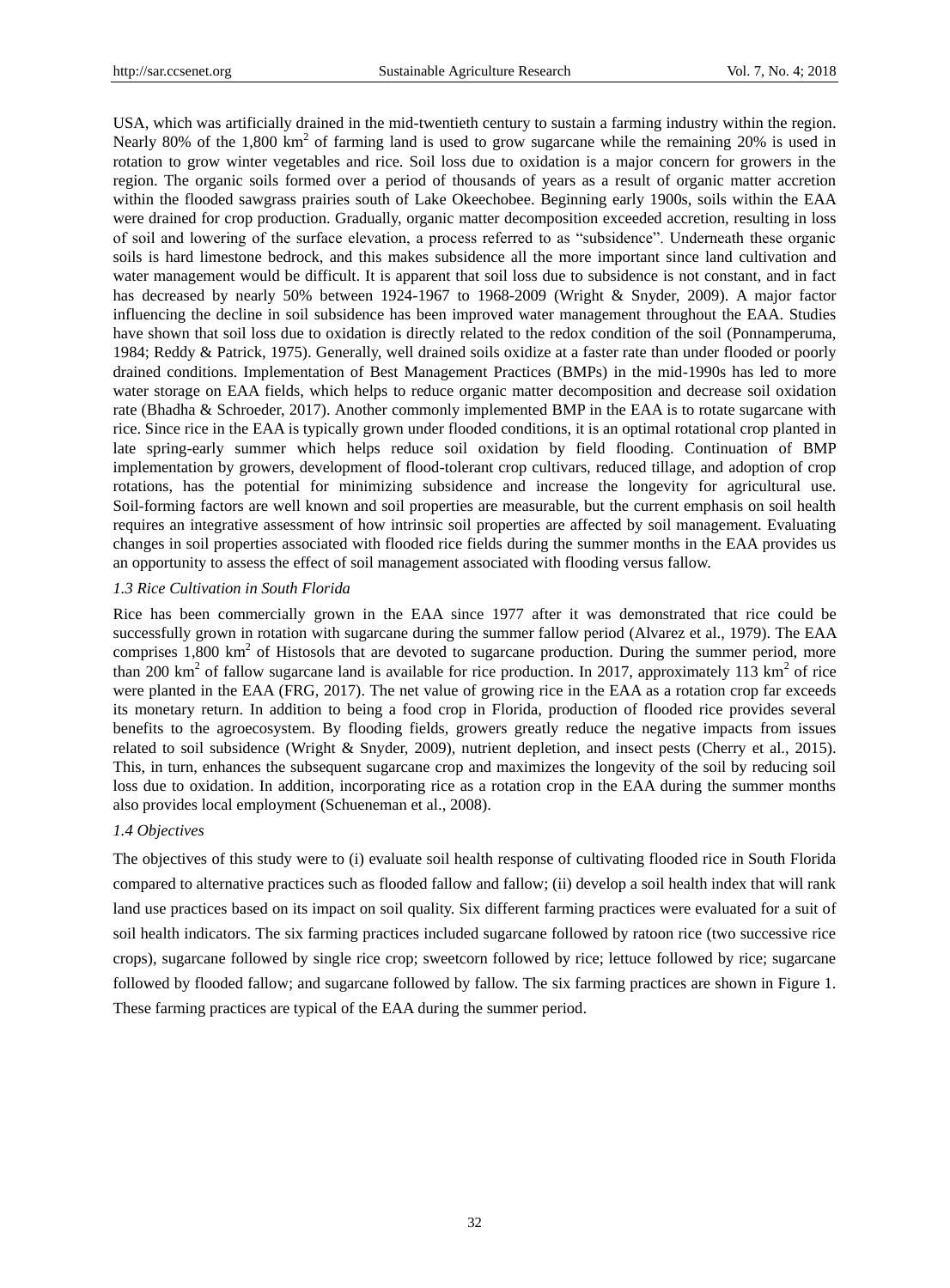USA, which was artificially drained in the mid-twentieth century to sustain a farming industry within the region. Nearly 80% of the 1,800  $km^2$  of farming land is used to grow sugarcane while the remaining 20% is used in rotation to grow winter vegetables and rice. Soil loss due to oxidation is a major concern for growers in the region. The organic soils formed over a period of thousands of years as a result of organic matter accretion within the flooded sawgrass prairies south of Lake Okeechobee. Beginning early 1900s, soils within the EAA were drained for crop production. Gradually, organic matter decomposition exceeded accretion, resulting in loss of soil and lowering of the surface elevation, a process referred to as "subsidence". Underneath these organic soils is hard limestone bedrock, and this makes subsidence all the more important since land cultivation and water management would be difficult. It is apparent that soil loss due to subsidence is not constant, and in fact has decreased by nearly 50% between 1924-1967 to 1968-2009 (Wright & Snyder, 2009). A major factor influencing the decline in soil subsidence has been improved water management throughout the EAA. Studies have shown that soil loss due to oxidation is directly related to the redox condition of the soil (Ponnamperuma, 1984; Reddy & Patrick, 1975). Generally, well drained soils oxidize at a faster rate than under flooded or poorly drained conditions. Implementation of Best Management Practices (BMPs) in the mid-1990s has led to more water storage on EAA fields, which helps to reduce organic matter decomposition and decrease soil oxidation rate (Bhadha & Schroeder, 2017). Another commonly implemented BMP in the EAA is to rotate sugarcane with rice. Since rice in the EAA is typically grown under flooded conditions, it is an optimal rotational crop planted in late spring-early summer which helps reduce soil oxidation by field flooding. Continuation of BMP implementation by growers, development of flood-tolerant crop cultivars, reduced tillage, and adoption of crop rotations, has the potential for minimizing subsidence and increase the longevity for agricultural use. Soil-forming factors are well known and soil properties are measurable, but the current emphasis on soil health requires an integrative assessment of how intrinsic soil properties are affected by soil management. Evaluating changes in soil properties associated with flooded rice fields during the summer months in the EAA provides us an opportunity to assess the effect of soil management associated with flooding versus fallow.

## *1.3 Rice Cultivation in South Florida*

Rice has been commercially grown in the EAA since 1977 after it was demonstrated that rice could be successfully grown in rotation with sugarcane during the summer fallow period (Alvarez et al., 1979). The EAA comprises  $1,800 \text{ km}^2$  of Histosols that are devoted to sugarcane production. During the summer period, more than 200  $\text{km}^2$  of fallow sugarcane land is available for rice production. In 2017, approximately 113  $\text{km}^2$  of rice were planted in the EAA (FRG, 2017). The net value of growing rice in the EAA as a rotation crop far exceeds its monetary return. In addition to being a food crop in Florida, production of flooded rice provides several benefits to the agroecosystem. By flooding fields, growers greatly reduce the negative impacts from issues related to soil subsidence (Wright & Snyder, 2009), nutrient depletion, and insect pests (Cherry et al., 2015). This, in turn, enhances the subsequent sugarcane crop and maximizes the longevity of the soil by reducing soil loss due to oxidation. In addition, incorporating rice as a rotation crop in the EAA during the summer months also provides local employment (Schueneman et al., 2008).

## *1.4 Objectives*

The objectives of this study were to (i) evaluate soil health response of cultivating flooded rice in South Florida compared to alternative practices such as flooded fallow and fallow; (ii) develop a soil health index that will rank land use practices based on its impact on soil quality. Six different farming practices were evaluated for a suit of soil health indicators. The six farming practices included sugarcane followed by ratoon rice (two successive rice crops), sugarcane followed by single rice crop; sweetcorn followed by rice; lettuce followed by rice; sugarcane followed by flooded fallow; and sugarcane followed by fallow. The six farming practices are shown in Figure 1. These farming practices are typical of the EAA during the summer period.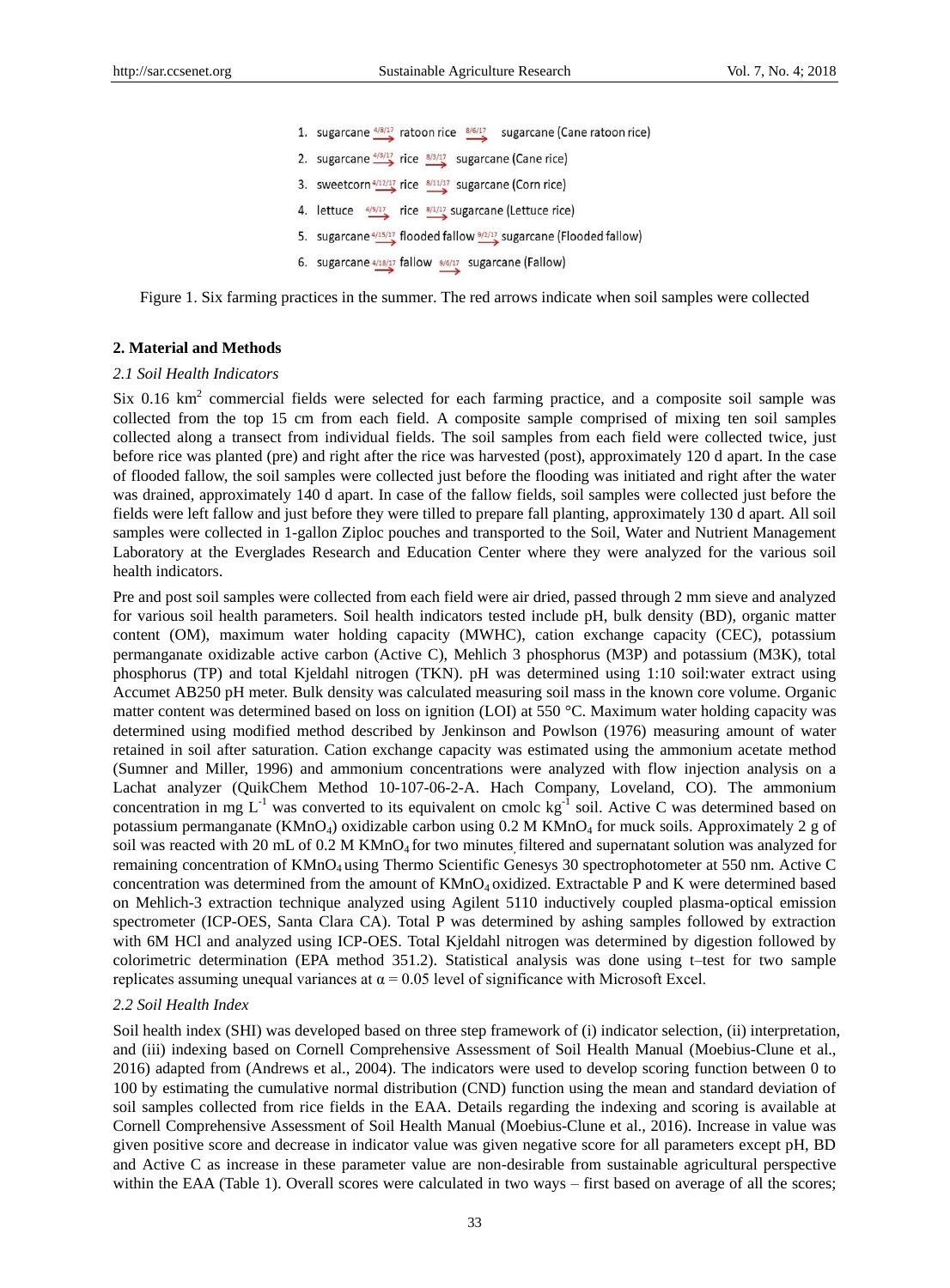1. sugarcane 4/8/17 ratoon rice 8/6/17 sugarcane (Cane ratoon rice)

- 2. sugarcane  $\frac{4/3/17}{2}$  rice  $\frac{8/3/17}{2}$  sugarcane (Cane rice)
- 3. sweetcorn<sup>4/12/17</sup> rice <sup>8/11/17</sup> sugarcane (Corn rice)
- 4. lettuce 4/5/17 rice 8/1/17 sugarcane (Lettuce rice)
- 5. sugarcane 4/15/17 flooded fallow 9/2/17 sugarcane (Flooded fallow)
- 6. sugarcane 4/18/17 fallow 9/6/17 sugarcane (Fallow)

Figure 1. Six farming practices in the summer. The red arrows indicate when soil samples were collected

#### **2. Material and Methods**

## *2.1 Soil Health Indicators*

Six 0.16 km<sup>2</sup> commercial fields were selected for each farming practice, and a composite soil sample was collected from the top 15 cm from each field. A composite sample comprised of mixing ten soil samples collected along a transect from individual fields. The soil samples from each field were collected twice, just before rice was planted (pre) and right after the rice was harvested (post), approximately 120 d apart. In the case of flooded fallow, the soil samples were collected just before the flooding was initiated and right after the water was drained, approximately 140 d apart. In case of the fallow fields, soil samples were collected just before the fields were left fallow and just before they were tilled to prepare fall planting, approximately 130 d apart. All soil samples were collected in 1-gallon Ziploc pouches and transported to the Soil, Water and Nutrient Management Laboratory at the Everglades Research and Education Center where they were analyzed for the various soil health indicators.

Pre and post soil samples were collected from each field were air dried, passed through 2 mm sieve and analyzed for various soil health parameters. Soil health indicators tested include pH, bulk density (BD), organic matter content (OM), maximum water holding capacity (MWHC), cation exchange capacity (CEC), potassium permanganate oxidizable active carbon (Active C), Mehlich 3 phosphorus (M3P) and potassium (M3K), total phosphorus (TP) and total Kjeldahl nitrogen (TKN). pH was determined using 1:10 soil:water extract using Accumet AB250 pH meter. Bulk density was calculated measuring soil mass in the known core volume. Organic matter content was determined based on loss on ignition (LOI) at 550 °C. Maximum water holding capacity was determined using modified method described by Jenkinson and Powlson (1976) measuring amount of water retained in soil after saturation. Cation exchange capacity was estimated using the ammonium acetate method (Sumner and Miller, 1996) and ammonium concentrations were analyzed with flow injection analysis on a Lachat analyzer (QuikChem Method 10-107-06-2-A. Hach Company, Loveland, CO). The ammonium concentration in mg  $L^{-1}$  was converted to its equivalent on cmolc kg<sup>-1</sup> soil. Active C was determined based on potassium permanganate (KMnO4) oxidizable carbon using 0.2 M KMnO<sup>4</sup> for muck soils. Approximately 2 g of soil was reacted with 20 mL of 0.2 M KMnO<sub>4</sub> for two minutes filtered and supernatant solution was analyzed for remaining concentration of KMnO4 using Thermo Scientific Genesys 30 spectrophotometer at 550 nm. Active C concentration was determined from the amount of  $KMnO<sub>4</sub>$  oxidized. Extractable P and K were determined based on Mehlich-3 extraction technique analyzed using Agilent 5110 inductively coupled plasma-optical emission spectrometer (ICP-OES, Santa Clara CA). Total P was determined by ashing samples followed by extraction with 6M HCl and analyzed using ICP-OES. Total Kjeldahl nitrogen was determined by digestion followed by colorimetric determination (EPA method 351.2). Statistical analysis was done using t–test for two sample replicates assuming unequal variances at  $\alpha = 0.05$  level of significance with Microsoft Excel.

#### *2.2 Soil Health Index*

Soil health index (SHI) was developed based on three step framework of (i) indicator selection, (ii) interpretation, and (iii) indexing based on Cornell Comprehensive Assessment of Soil Health Manual (Moebius-Clune et al., 2016) adapted from (Andrews et al., 2004). The indicators were used to develop scoring function between 0 to 100 by estimating the cumulative normal distribution (CND) function using the mean and standard deviation of soil samples collected from rice fields in the EAA. Details regarding the indexing and scoring is available at Cornell Comprehensive Assessment of Soil Health Manual (Moebius-Clune et al., 2016). Increase in value was given positive score and decrease in indicator value was given negative score for all parameters except pH, BD and Active C as increase in these parameter value are non-desirable from sustainable agricultural perspective within the EAA (Table 1). Overall scores were calculated in two ways – first based on average of all the scores;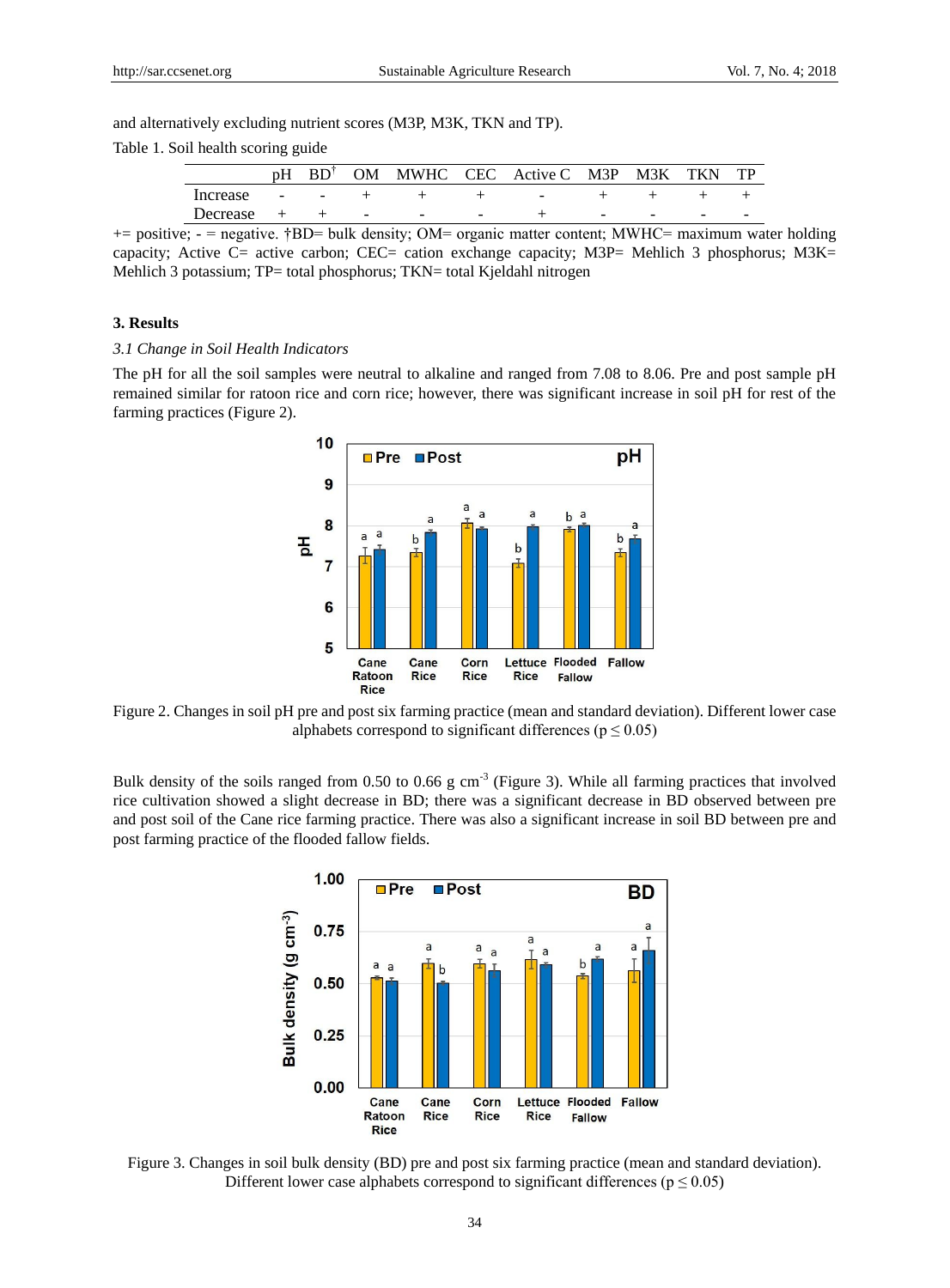and alternatively excluding nutrient scores (M3P, M3K, TKN and TP).

## Table 1. Soil health scoring guide

|                        |                |  | pH BD <sup>T</sup> OM MWHC CEC Active C M3P M3K TKN TP |                                                |        |  |
|------------------------|----------------|--|--------------------------------------------------------|------------------------------------------------|--------|--|
| Increase               | $\sim$ $    +$ |  |                                                        |                                                |        |  |
| Decrease $+$ $+$ $  -$ |                |  |                                                        | and the state of the state of the state of the | $\sim$ |  |

+= positive; - = negative. †BD= bulk density; OM= organic matter content; MWHC= maximum water holding capacity; Active C= active carbon; CEC= cation exchange capacity; M3P= Mehlich 3 phosphorus; M3K= Mehlich 3 potassium; TP= total phosphorus; TKN= total Kjeldahl nitrogen

#### **3. Results**

#### *3.1 Change in Soil Health Indicators*

The pH for all the soil samples were neutral to alkaline and ranged from 7.08 to 8.06. Pre and post sample pH remained similar for ratoon rice and corn rice; however, there was significant increase in soil pH for rest of the farming practices (Figure 2).



Figure 2. Changes in soil pH pre and post six farming practice (mean and standard deviation). Different lower case alphabets correspond to significant differences ( $p \le 0.05$ )

Bulk density of the soils ranged from  $0.50$  to  $0.66$  g cm<sup>-3</sup> (Figure 3). While all farming practices that involved rice cultivation showed a slight decrease in BD; there was a significant decrease in BD observed between pre and post soil of the Cane rice farming practice. There was also a significant increase in soil BD between pre and post farming practice of the flooded fallow fields.



Figure 3. Changes in soil bulk density (BD) pre and post six farming practice (mean and standard deviation). Different lower case alphabets correspond to significant differences ( $p \le 0.05$ )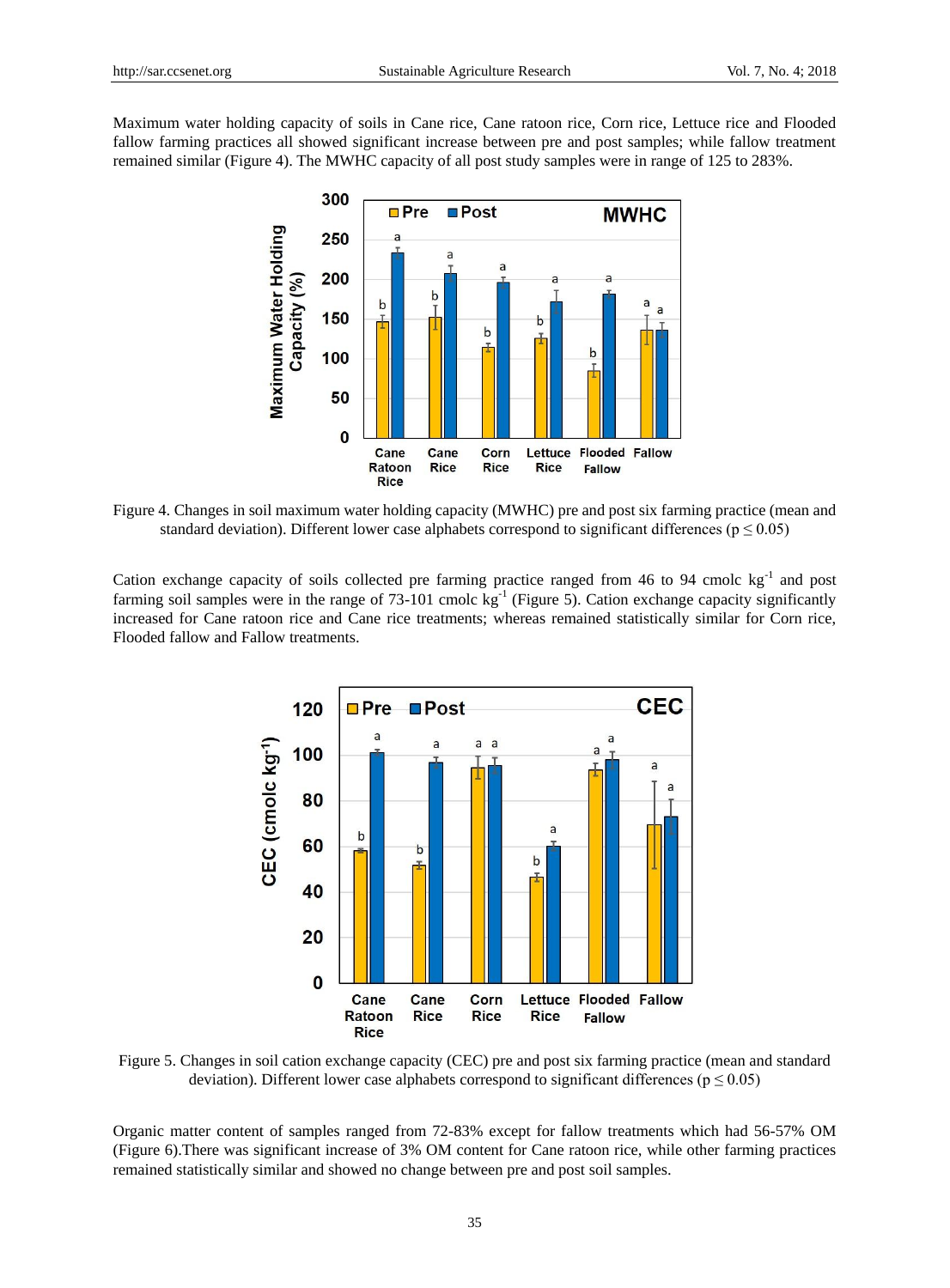Maximum water holding capacity of soils in Cane rice, Cane ratoon rice, Corn rice, Lettuce rice and Flooded fallow farming practices all showed significant increase between pre and post samples; while fallow treatment remained similar (Figure 4). The MWHC capacity of all post study samples were in range of 125 to 283%.



Figure 4. Changes in soil maximum water holding capacity (MWHC) pre and post six farming practice (mean and standard deviation). Different lower case alphabets correspond to significant differences ( $p \le 0.05$ )

Cation exchange capacity of soils collected pre farming practice ranged from 46 to 94 cmolc kg<sup>-1</sup> and post farming soil samples were in the range of 73-101 cmolc  $kg<sup>-1</sup>$  (Figure 5). Cation exchange capacity significantly increased for Cane ratoon rice and Cane rice treatments; whereas remained statistically similar for Corn rice, Flooded fallow and Fallow treatments.



Figure 5. Changes in soil cation exchange capacity (CEC) pre and post six farming practice (mean and standard deviation). Different lower case alphabets correspond to significant differences ( $p \le 0.05$ )

Organic matter content of samples ranged from 72-83% except for fallow treatments which had 56-57% OM (Figure 6).There was significant increase of 3% OM content for Cane ratoon rice, while other farming practices remained statistically similar and showed no change between pre and post soil samples.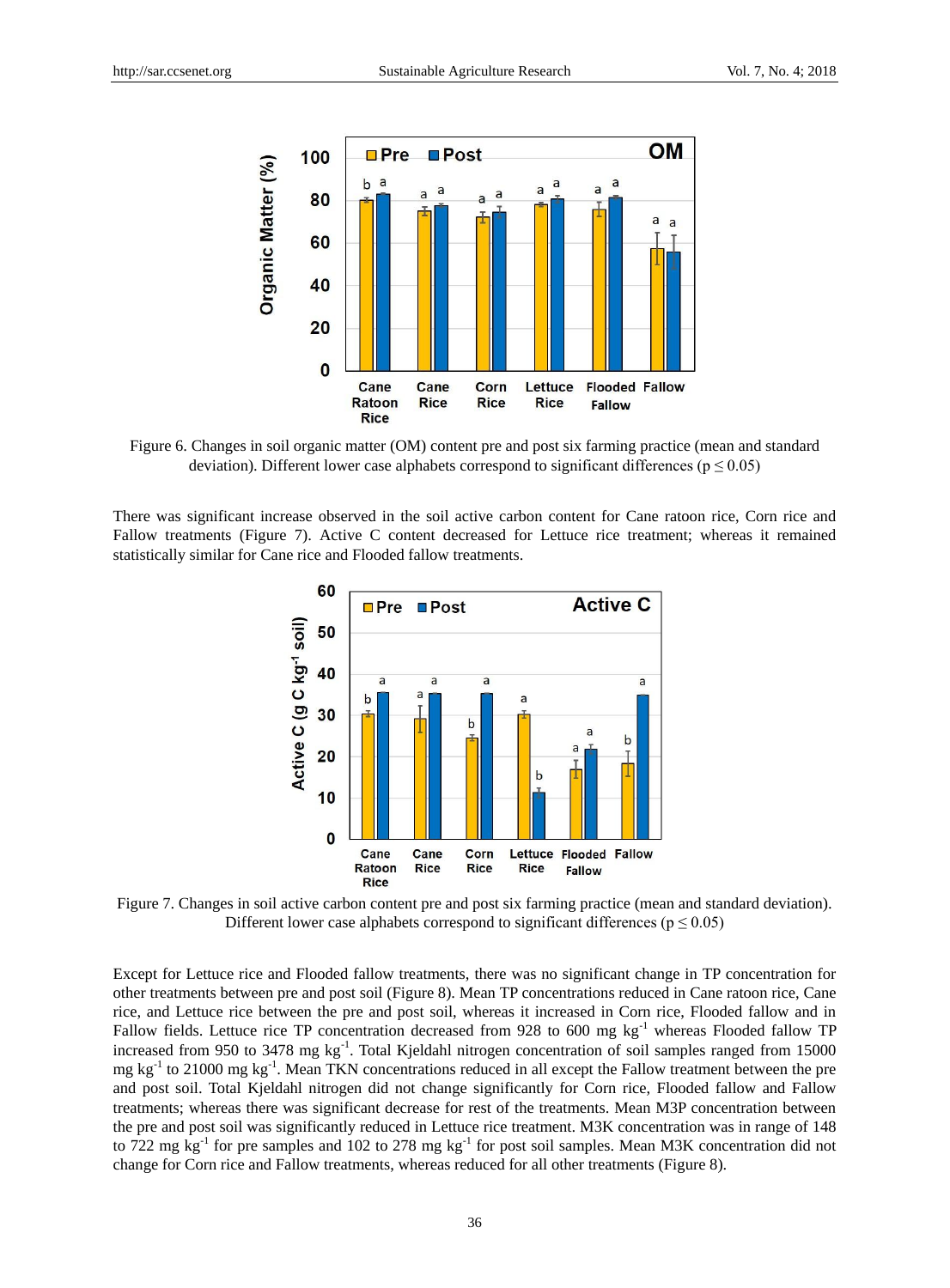

Figure 6. Changes in soil organic matter (OM) content pre and post six farming practice (mean and standard deviation). Different lower case alphabets correspond to significant differences ( $p \le 0.05$ )

There was significant increase observed in the soil active carbon content for Cane ratoon rice, Corn rice and Fallow treatments (Figure 7). Active C content decreased for Lettuce rice treatment; whereas it remained statistically similar for Cane rice and Flooded fallow treatments.



Figure 7. Changes in soil active carbon content pre and post six farming practice (mean and standard deviation). Different lower case alphabets correspond to significant differences ( $p \le 0.05$ )

Except for Lettuce rice and Flooded fallow treatments, there was no significant change in TP concentration for other treatments between pre and post soil (Figure 8). Mean TP concentrations reduced in Cane ratoon rice, Cane rice, and Lettuce rice between the pre and post soil, whereas it increased in Corn rice, Flooded fallow and in Fallow fields. Lettuce rice TP concentration decreased from 928 to 600 mg kg<sup>-1</sup> whereas Flooded fallow TP increased from 950 to 3478 mg kg<sup>-1</sup>. Total Kjeldahl nitrogen concentration of soil samples ranged from 15000 mg kg<sup>-1</sup> to 21000 mg kg<sup>-1</sup>. Mean TKN concentrations reduced in all except the Fallow treatment between the pre and post soil. Total Kjeldahl nitrogen did not change significantly for Corn rice, Flooded fallow and Fallow treatments; whereas there was significant decrease for rest of the treatments. Mean M3P concentration between the pre and post soil was significantly reduced in Lettuce rice treatment. M3K concentration was in range of 148 to 722 mg  $\text{kg}^{-1}$  for pre samples and 102 to 278 mg  $\text{kg}^{-1}$  for post soil samples. Mean M3K concentration did not change for Corn rice and Fallow treatments, whereas reduced for all other treatments (Figure 8).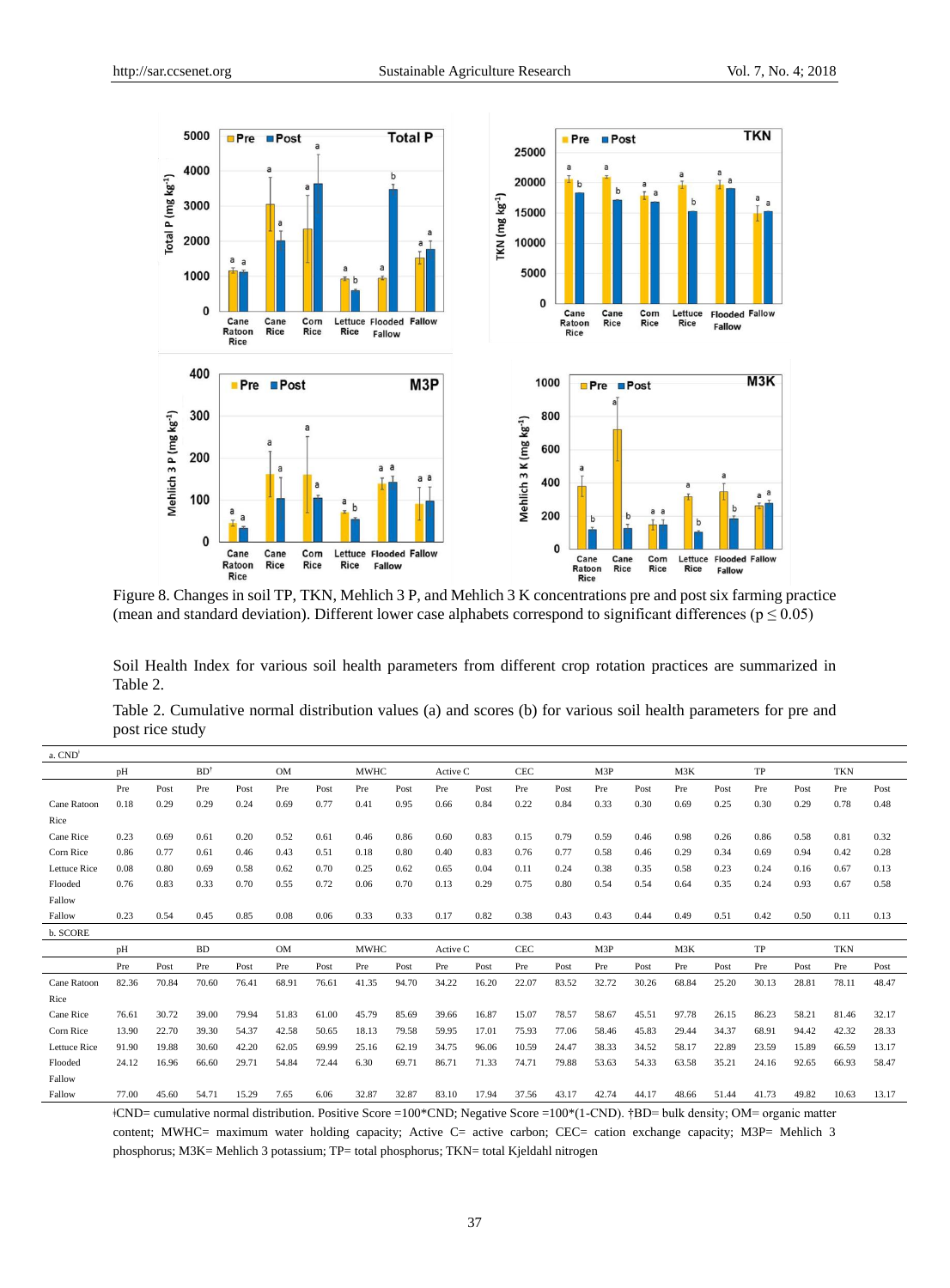

Figure 8. Changes in soil TP, TKN, Mehlich 3 P, and Mehlich 3 K concentrations pre and post six farming practice (mean and standard deviation). Different lower case alphabets correspond to significant differences ( $p \le 0.05$ )

Soil Health Index for various soil health parameters from different crop rotation practices are summarized in Table 2.

Table 2. Cumulative normal distribution values (a) and scores (b) for various soil health parameters for pre and post rice study

| a. CND <sup>®</sup> |       |       |                |       |           |       |             |       |          |       |            |       |       |       |       |       |       |       |            |       |
|---------------------|-------|-------|----------------|-------|-----------|-------|-------------|-------|----------|-------|------------|-------|-------|-------|-------|-------|-------|-------|------------|-------|
|                     | pH    |       | $BD^{\dagger}$ |       | OM        |       | <b>MWHC</b> |       | Active C |       | <b>CEC</b> |       | M3P   |       | M3K   |       | TP    |       | <b>TKN</b> |       |
|                     | Pre   | Post  | Pre            | Post  | Pre       | Post  | Pre         | Post  | Pre      | Post  | Pre        | Post  | Pre   | Post  | Pre   | Post  | Pre   | Post  | Pre        | Post  |
| Cane Ratoon         | 0.18  | 0.29  | 0.29           | 0.24  | 0.69      | 0.77  | 0.41        | 0.95  | 0.66     | 0.84  | 0.22       | 0.84  | 0.33  | 0.30  | 0.69  | 0.25  | 0.30  | 0.29  | 0.78       | 0.48  |
| Rice                |       |       |                |       |           |       |             |       |          |       |            |       |       |       |       |       |       |       |            |       |
| Cane Rice           | 0.23  | 0.69  | 0.61           | 0.20  | 0.52      | 0.61  | 0.46        | 0.86  | 0.60     | 0.83  | 0.15       | 0.79  | 0.59  | 0.46  | 0.98  | 0.26  | 0.86  | 0.58  | 0.81       | 0.32  |
| Corn Rice           | 0.86  | 0.77  | 0.61           | 0.46  | 0.43      | 0.51  | 0.18        | 0.80  | 0.40     | 0.83  | 0.76       | 0.77  | 0.58  | 0.46  | 0.29  | 0.34  | 0.69  | 0.94  | 0.42       | 0.28  |
| <b>Lettuce Rice</b> | 0.08  | 0.80  | 0.69           | 0.58  | 0.62      | 0.70  | 0.25        | 0.62  | 0.65     | 0.04  | 0.11       | 0.24  | 0.38  | 0.35  | 0.58  | 0.23  | 0.24  | 0.16  | 0.67       | 0.13  |
| Flooded             | 0.76  | 0.83  | 0.33           | 0.70  | 0.55      | 0.72  | 0.06        | 0.70  | 0.13     | 0.29  | 0.75       | 0.80  | 0.54  | 0.54  | 0.64  | 0.35  | 0.24  | 0.93  | 0.67       | 0.58  |
| Fallow              |       |       |                |       |           |       |             |       |          |       |            |       |       |       |       |       |       |       |            |       |
| Fallow              | 0.23  | 0.54  | 0.45           | 0.85  | 0.08      | 0.06  | 0.33        | 0.33  | 0.17     | 0.82  | 0.38       | 0.43  | 0.43  | 0.44  | 0.49  | 0.51  | 0.42  | 0.50  | 0.11       | 0.13  |
| b. SCORE            |       |       |                |       |           |       |             |       |          |       |            |       |       |       |       |       |       |       |            |       |
|                     | pH    |       | <b>BD</b>      |       | <b>OM</b> |       | <b>MWHC</b> |       | Active C |       | <b>CEC</b> |       | M3P   |       | M3K   |       | TP    |       | <b>TKN</b> |       |
|                     | Pre   | Post  | Pre            | Post  | Pre       | Post  | Pre         | Post  | Pre      | Post  | Pre        | Post  | Pre   | Post  | Pre   | Post  | Pre   | Post  | Pre        | Post  |
| Cane Ratoon         | 82.36 | 70.84 | 70.60          | 76.41 | 68.91     | 76.61 | 41.35       | 94.70 | 34.22    | 16.20 | 22.07      | 83.52 | 32.72 | 30.26 | 68.84 | 25.20 | 30.13 | 28.81 | 78.11      | 48.47 |
| Rice                |       |       |                |       |           |       |             |       |          |       |            |       |       |       |       |       |       |       |            |       |
| Cane Rice           | 76.61 | 30.72 | 39.00          | 79.94 | 51.83     | 61.00 | 45.79       | 85.69 | 39.66    | 16.87 | 15.07      | 78.57 | 58.67 | 45.51 | 97.78 | 26.15 | 86.23 | 58.21 | 81.46      | 32.17 |
| Corn Rice           | 13.90 | 22.70 | 39.30          | 54.37 | 42.58     | 50.65 | 18.13       | 79.58 | 59.95    | 17.01 | 75.93      | 77.06 | 58.46 | 45.83 | 29.44 | 34.37 | 68.91 | 94.42 | 42.32      | 28.33 |
| <b>Lettuce Rice</b> | 91.90 | 19.88 | 30.60          | 42.20 | 62.05     | 69.99 | 25.16       | 62.19 | 34.75    | 96.06 | 10.59      | 24.47 | 38.33 | 34.52 | 58.17 | 22.89 | 23.59 | 15.89 | 66.59      | 13.17 |
| Flooded             | 24.12 | 16.96 | 66.60          | 29.71 | 54.84     | 72.44 | 6.30        | 69.71 | 86.71    | 71.33 | 74.71      | 79.88 | 53.63 | 54.33 | 63.58 | 35.21 | 24.16 | 92.65 | 66.93      | 58.47 |
| Fallow              |       |       |                |       |           |       |             |       |          |       |            |       |       |       |       |       |       |       |            |       |
| Fallow              | 77.00 | 45.60 | 54.71          | 15.29 | 7.65      | 6.06  | 32.87       | 32.87 | 83.10    | 17.94 | 37.56      | 43.17 | 42.74 | 44.17 | 48.66 | 51.44 | 41.73 | 49.82 | 10.63      | 13.17 |

ǂCND= cumulative normal distribution. Positive Score =100\*CND; Negative Score =100\*(1-CND). †BD= bulk density; OM= organic matter

content; MWHC= maximum water holding capacity; Active C= active carbon; CEC= cation exchange capacity; M3P= Mehlich 3 phosphorus; M3K= Mehlich 3 potassium; TP= total phosphorus; TKN= total Kjeldahl nitrogen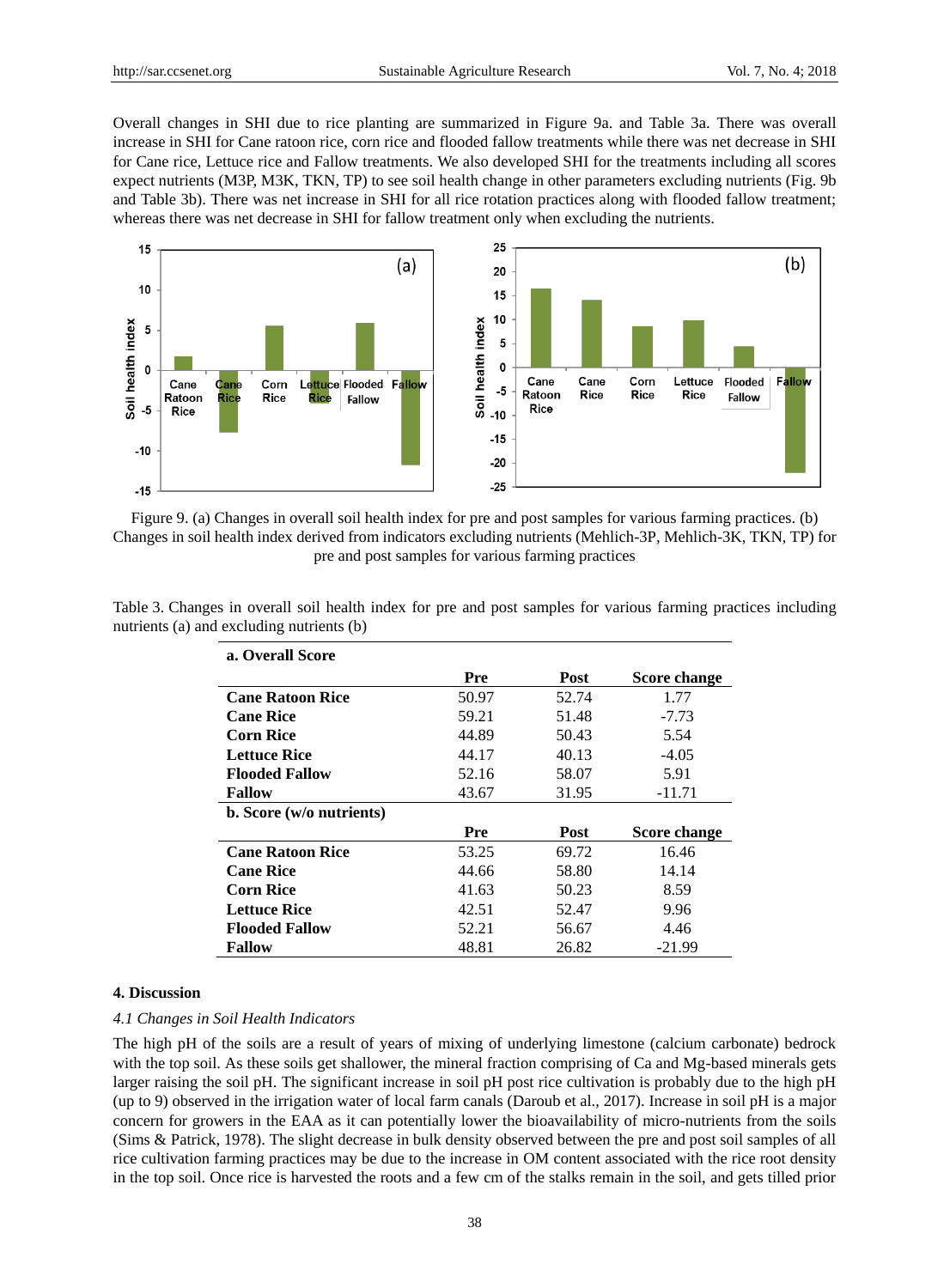Overall changes in SHI due to rice planting are summarized in Figure 9a. and Table 3a. There was overall increase in SHI for Cane ratoon rice, corn rice and flooded fallow treatments while there was net decrease in SHI for Cane rice, Lettuce rice and Fallow treatments. We also developed SHI for the treatments including all scores expect nutrients (M3P, M3K, TKN, TP) to see soil health change in other parameters excluding nutrients (Fig. 9b) and Table 3b). There was net increase in SHI for all rice rotation practices along with flooded fallow treatment; whereas there was net decrease in SHI for fallow treatment only when excluding the nutrients.



Figure 9. (a) Changes in overall soil health index for pre and post samples for various farming practices. (b) Changes in soil health index derived from indicators excluding nutrients (Mehlich-3P, Mehlich-3K, TKN, TP) for pre and post samples for various farming practices

| a. Overall Score                |       |       |              |
|---------------------------------|-------|-------|--------------|
|                                 | Pre   | Post  | Score change |
| <b>Cane Ratoon Rice</b>         | 50.97 | 52.74 | 1.77         |
| <b>Cane Rice</b>                | 59.21 | 51.48 | $-7.73$      |
| <b>Corn Rice</b>                | 44.89 | 50.43 | 5.54         |
| <b>Lettuce Rice</b>             | 44.17 | 40.13 | $-4.05$      |
| <b>Flooded Fallow</b>           | 52.16 | 58.07 | 5.91         |
| <b>Fallow</b>                   | 43.67 | 31.95 | $-11.71$     |
| <b>b.</b> Score (w/o nutrients) |       |       |              |
|                                 | Pre   | Post  | Score change |
| <b>Cane Ratoon Rice</b>         | 53.25 | 69.72 | 16.46        |
| <b>Cane Rice</b>                | 44.66 | 58.80 | 14.14        |
| <b>Corn Rice</b>                | 41.63 | 50.23 | 8.59         |
| <b>Lettuce Rice</b>             | 42.51 | 52.47 | 9.96         |
| <b>Flooded Fallow</b>           | 52.21 | 56.67 | 4.46         |
| <b>Fallow</b>                   | 48.81 | 26.82 | $-21.99$     |

Table 3. Changes in overall soil health index for pre and post samples for various farming practices including nutrients (a) and excluding nutrients (b)

## **4. Discussion**

#### *4.1 Changes in Soil Health Indicators*

The high pH of the soils are a result of years of mixing of underlying limestone (calcium carbonate) bedrock with the top soil. As these soils get shallower, the mineral fraction comprising of Ca and Mg-based minerals gets larger raising the soil pH. The significant increase in soil pH post rice cultivation is probably due to the high pH (up to 9) observed in the irrigation water of local farm canals (Daroub et al., 2017). Increase in soil pH is a major concern for growers in the EAA as it can potentially lower the bioavailability of micro-nutrients from the soils (Sims & Patrick, 1978). The slight decrease in bulk density observed between the pre and post soil samples of all rice cultivation farming practices may be due to the increase in OM content associated with the rice root density in the top soil. Once rice is harvested the roots and a few cm of the stalks remain in the soil, and gets tilled prior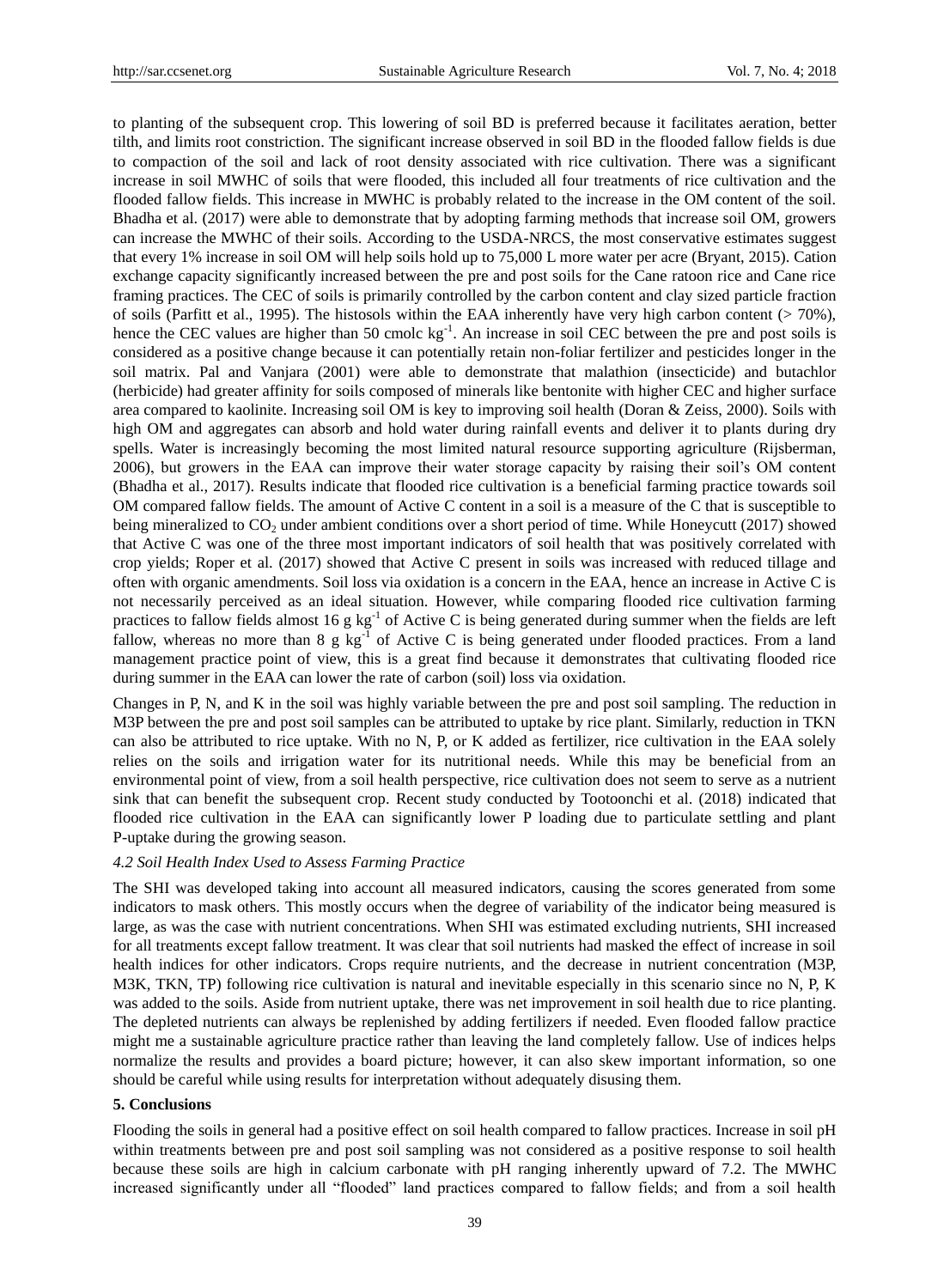to planting of the subsequent crop. This lowering of soil BD is preferred because it facilitates aeration, better tilth, and limits root constriction. The significant increase observed in soil BD in the flooded fallow fields is due to compaction of the soil and lack of root density associated with rice cultivation. There was a significant increase in soil MWHC of soils that were flooded, this included all four treatments of rice cultivation and the flooded fallow fields. This increase in MWHC is probably related to the increase in the OM content of the soil. Bhadha et al. (2017) were able to demonstrate that by adopting farming methods that increase soil OM, growers can increase the MWHC of their soils. According to the USDA-NRCS, the most conservative estimates suggest that every 1% increase in soil OM will help soils hold up to 75,000 L more water per acre (Bryant, 2015). Cation exchange capacity significantly increased between the pre and post soils for the Cane ratoon rice and Cane rice framing practices. The CEC of soils is primarily controlled by the carbon content and clay sized particle fraction of soils (Parfitt et al., 1995). The histosols within the EAA inherently have very high carbon content (> 70%), hence the CEC values are higher than 50 cmolc  $kg<sup>-1</sup>$ . An increase in soil CEC between the pre and post soils is considered as a positive change because it can potentially retain non-foliar fertilizer and pesticides longer in the soil matrix. Pal and Vanjara (2001) were able to demonstrate that malathion (insecticide) and butachlor (herbicide) had greater affinity for soils composed of minerals like bentonite with higher CEC and higher surface area compared to kaolinite. Increasing soil OM is key to improving soil health (Doran & Zeiss, 2000). Soils with high OM and aggregates can absorb and hold water during rainfall events and deliver it to plants during dry spells. Water is increasingly becoming the most limited natural resource supporting agriculture (Rijsberman, 2006), but growers in the EAA can improve their water storage capacity by raising their soil's OM content (Bhadha et al., 2017). Results indicate that flooded rice cultivation is a beneficial farming practice towards soil OM compared fallow fields. The amount of Active C content in a soil is a measure of the C that is susceptible to being mineralized to  $CO<sub>2</sub>$  under ambient conditions over a short period of time. While Honeycutt (2017) showed that Active C was one of the three most important indicators of soil health that was positively correlated with crop yields; Roper et al. (2017) showed that Active C present in soils was increased with reduced tillage and often with organic amendments. Soil loss via oxidation is a concern in the EAA, hence an increase in Active C is not necessarily perceived as an ideal situation. However, while comparing flooded rice cultivation farming practices to fallow fields almost 16 g  $kg^{-1}$  of Active C is being generated during summer when the fields are left fallow, whereas no more than  $8 \text{ g kg}^{-1}$  of Active C is being generated under flooded practices. From a land management practice point of view, this is a great find because it demonstrates that cultivating flooded rice during summer in the EAA can lower the rate of carbon (soil) loss via oxidation.

Changes in P, N, and K in the soil was highly variable between the pre and post soil sampling. The reduction in M3P between the pre and post soil samples can be attributed to uptake by rice plant. Similarly, reduction in TKN can also be attributed to rice uptake. With no N, P, or K added as fertilizer, rice cultivation in the EAA solely relies on the soils and irrigation water for its nutritional needs. While this may be beneficial from an environmental point of view, from a soil health perspective, rice cultivation does not seem to serve as a nutrient sink that can benefit the subsequent crop. Recent study conducted by Tootoonchi et al. (2018) indicated that flooded rice cultivation in the EAA can significantly lower P loading due to particulate settling and plant P-uptake during the growing season.

#### *4.2 Soil Health Index Used to Assess Farming Practice*

The SHI was developed taking into account all measured indicators, causing the scores generated from some indicators to mask others. This mostly occurs when the degree of variability of the indicator being measured is large, as was the case with nutrient concentrations. When SHI was estimated excluding nutrients, SHI increased for all treatments except fallow treatment. It was clear that soil nutrients had masked the effect of increase in soil health indices for other indicators. Crops require nutrients, and the decrease in nutrient concentration (M3P, M3K, TKN, TP) following rice cultivation is natural and inevitable especially in this scenario since no N, P, K was added to the soils. Aside from nutrient uptake, there was net improvement in soil health due to rice planting. The depleted nutrients can always be replenished by adding fertilizers if needed. Even flooded fallow practice might me a sustainable agriculture practice rather than leaving the land completely fallow. Use of indices helps normalize the results and provides a board picture; however, it can also skew important information, so one should be careful while using results for interpretation without adequately disusing them.

### **5. Conclusions**

Flooding the soils in general had a positive effect on soil health compared to fallow practices. Increase in soil pH within treatments between pre and post soil sampling was not considered as a positive response to soil health because these soils are high in calcium carbonate with pH ranging inherently upward of 7.2. The MWHC increased significantly under all "flooded" land practices compared to fallow fields; and from a soil health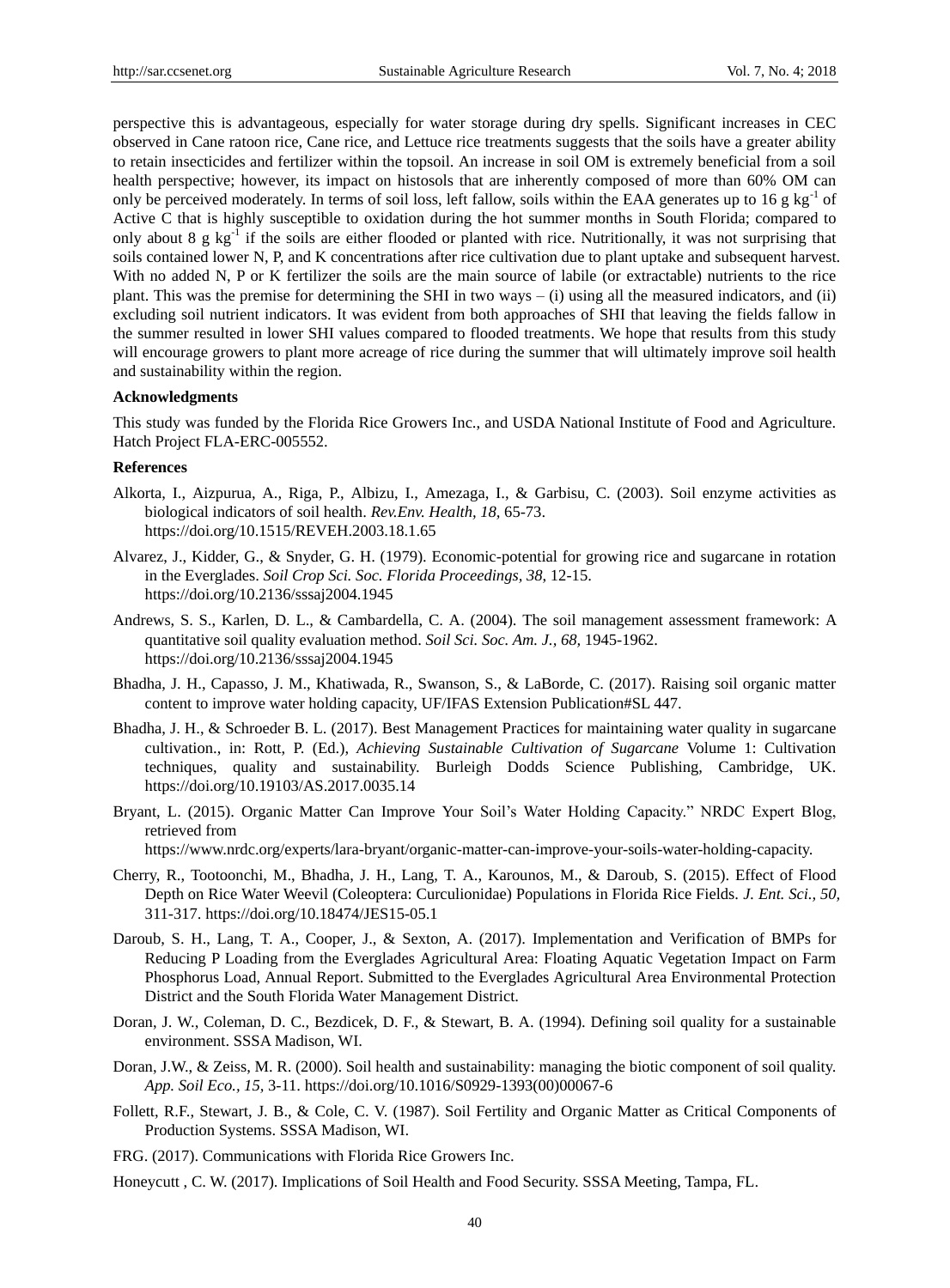perspective this is advantageous, especially for water storage during dry spells. Significant increases in CEC observed in Cane ratoon rice, Cane rice, and Lettuce rice treatments suggests that the soils have a greater ability to retain insecticides and fertilizer within the topsoil. An increase in soil OM is extremely beneficial from a soil health perspective; however, its impact on histosols that are inherently composed of more than 60% OM can only be perceived moderately. In terms of soil loss, left fallow, soils within the EAA generates up to 16 g  $kg^{-1}$  of Active C that is highly susceptible to oxidation during the hot summer months in South Florida; compared to only about 8  $g kg<sup>-1</sup>$  if the soils are either flooded or planted with rice. Nutritionally, it was not surprising that soils contained lower N, P, and K concentrations after rice cultivation due to plant uptake and subsequent harvest. With no added N, P or K fertilizer the soils are the main source of labile (or extractable) nutrients to the rice plant. This was the premise for determining the SHI in two ways – (i) using all the measured indicators, and (ii) excluding soil nutrient indicators. It was evident from both approaches of SHI that leaving the fields fallow in the summer resulted in lower SHI values compared to flooded treatments. We hope that results from this study will encourage growers to plant more acreage of rice during the summer that will ultimately improve soil health and sustainability within the region.

#### **Acknowledgments**

This study was funded by the Florida Rice Growers Inc., and USDA National Institute of Food and Agriculture. Hatch Project FLA-ERC-005552.

### **References**

- Alkorta, I., Aizpurua, A., Riga, P., Albizu, I., Amezaga, I., & Garbisu, C. (2003). Soil enzyme activities as biological indicators of soil health. *Rev.Env. Health, 18,* 65-73. https://doi.org/10.1515/REVEH.2003.18.1.65
- Alvarez, J., Kidder, G., & Snyder, G. H. (1979). Economic-potential for growing rice and sugarcane in rotation in the Everglades. *Soil Crop Sci. Soc. Florida Proceedings, 38*, 12-15. https://doi.org/10.2136/sssaj2004.1945
- Andrews, S. S., Karlen, D. L., & Cambardella, C. A. (2004). The soil management assessment framework: A quantitative soil quality evaluation method. *Soil Sci. Soc. Am. J., 68,* 1945-1962. https://doi.org/10.2136/sssaj2004.1945
- Bhadha, J. H., Capasso, J. M., Khatiwada, R., Swanson, S., & LaBorde, C. (2017). Raising soil organic matter content to improve water holding capacity, UF/IFAS Extension Publication#SL 447.
- Bhadha, J. H., & Schroeder B. L. (2017). Best Management Practices for maintaining water quality in sugarcane cultivation., in: Rott, P. (Ed.), *Achieving Sustainable Cultivation of Sugarcane* Volume 1: Cultivation techniques, quality and sustainability. Burleigh Dodds Science Publishing, Cambridge, UK. https://doi.org/10.19103/AS.2017.0035.14
- Bryant, L. (2015). Organic Matter Can Improve Your Soil's Water Holding Capacity." NRDC Expert Blog, retrieved from https://www.nrdc.org/experts/lara-bryant/organic-matter-can-improve-your-soils-water-holding-capacity.
- Cherry, R., Tootoonchi, M., Bhadha, J. H., Lang, T. A., Karounos, M., & Daroub, S. (2015). Effect of Flood Depth on Rice Water Weevil (Coleoptera: Curculionidae) Populations in Florida Rice Fields. *J. Ent. Sci., 50,* 311-317. https://doi.org/10.18474/JES15-05.1
- Daroub, S. H., Lang, T. A., Cooper, J., & Sexton, A. (2017). Implementation and Verification of BMPs for Reducing P Loading from the Everglades Agricultural Area: Floating Aquatic Vegetation Impact on Farm Phosphorus Load, Annual Report. Submitted to the Everglades Agricultural Area Environmental Protection District and the South Florida Water Management District.
- Doran, J. W., Coleman, D. C., Bezdicek, D. F., & Stewart, B. A. (1994). Defining soil quality for a sustainable environment. SSSA Madison, WI.
- Doran, J.W., & Zeiss, M. R. (2000). Soil health and sustainability: managing the biotic component of soil quality. *App. Soil Eco., 15,* 3-11. https://doi.org/10.1016/S0929-1393(00)00067-6
- Follett, R.F., Stewart, J. B., & Cole, C. V. (1987). Soil Fertility and Organic Matter as Critical Components of Production Systems. SSSA Madison, WI.
- FRG. (2017). Communications with Florida Rice Growers Inc.
- Honeycutt , C. W. (2017). Implications of Soil Health and Food Security. SSSA Meeting, Tampa, FL.